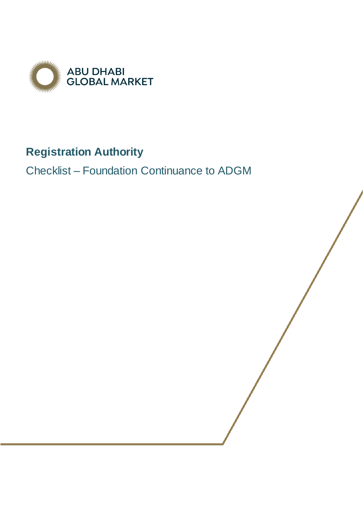

# **Registration Authority**

Checklist – Foundation Continuance to ADGM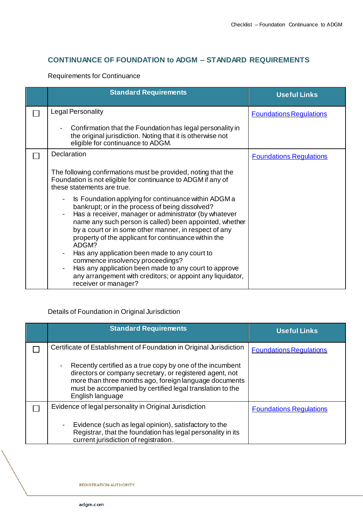## **CONTINUANCE OF FOUNDATION to ADGM – STANDARD REQUIREMENTS**

#### Requirements for Continuance

| <b>Standard Requirements</b>                                                                                                                                                                                                                                                                                                                                                                                                               | <b>Useful Links</b>            |
|--------------------------------------------------------------------------------------------------------------------------------------------------------------------------------------------------------------------------------------------------------------------------------------------------------------------------------------------------------------------------------------------------------------------------------------------|--------------------------------|
| <b>Legal Personality</b>                                                                                                                                                                                                                                                                                                                                                                                                                   | <b>Foundations Regulations</b> |
| Confirmation that the Foundation has legal personality in<br>the original jurisdiction. Noting that it is otherwise not<br>eligible for continuance to ADGM.                                                                                                                                                                                                                                                                               |                                |
| Declaration                                                                                                                                                                                                                                                                                                                                                                                                                                | <b>Foundations Regulations</b> |
| The following confirmations must be provided, noting that the<br>Foundation is not eligible for continuance to ADGM if any of<br>these statements are true.                                                                                                                                                                                                                                                                                |                                |
| Is Foundation applying for continuance within ADGM a<br>bankrupt; or in the process of being dissolved?<br>Has a receiver, manager or administrator (by whatever<br>name any such person is called) been appointed, whether<br>by a court or in some other manner, in respect of any<br>property of the applicant for continuance within the<br>ADGM?<br>Has any application been made to any court to<br>commence insolvency proceedings? |                                |
| Has any application been made to any court to approve<br>any arrangement with creditors; or appoint any liquidator,<br>receiver or manager?                                                                                                                                                                                                                                                                                                |                                |

### Details of Foundation in Original Jurisdiction

| <b>Standard Requirements</b>                                                                                                                                                                                                                                                                     | <b>Useful Links</b>            |
|--------------------------------------------------------------------------------------------------------------------------------------------------------------------------------------------------------------------------------------------------------------------------------------------------|--------------------------------|
| Certificate of Establishment of Foundation in Original Jurisdiction                                                                                                                                                                                                                              | <b>Foundations Regulations</b> |
| Recently certified as a true copy by one of the incumbent<br>$\qquad \qquad \blacksquare$<br>directors or company secretary, or registered agent, not<br>more than three months ago, foreign language documents<br>must be accompanied by certified legal translation to the<br>English language |                                |
| Evidence of legal personality in Original Jurisdiction                                                                                                                                                                                                                                           | <b>Foundations Regulations</b> |
| Evidence (such as legal opinion), satisfactory to the<br>Registrar, that the foundation has legal personality in its<br>current jurisdiction of registration.                                                                                                                                    |                                |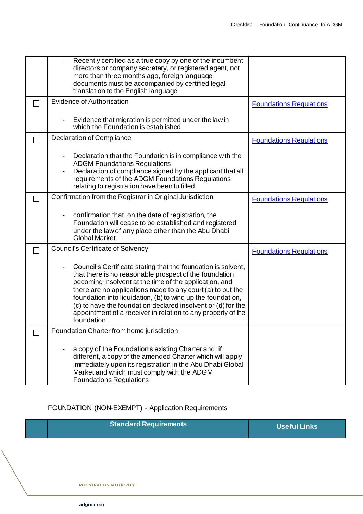| Recently certified as a true copy by one of the incumbent<br>directors or company secretary, or registered agent, not<br>more than three months ago, foreign language<br>documents must be accompanied by certified legal<br>translation to the English language                                                                                                                                                                                              |                                |
|---------------------------------------------------------------------------------------------------------------------------------------------------------------------------------------------------------------------------------------------------------------------------------------------------------------------------------------------------------------------------------------------------------------------------------------------------------------|--------------------------------|
| <b>Evidence of Authorisation</b>                                                                                                                                                                                                                                                                                                                                                                                                                              | <b>Foundations Regulations</b> |
| Evidence that migration is permitted under the law in<br>which the Foundation is established                                                                                                                                                                                                                                                                                                                                                                  |                                |
| <b>Declaration of Compliance</b>                                                                                                                                                                                                                                                                                                                                                                                                                              | <b>Foundations Regulations</b> |
| Declaration that the Foundation is in compliance with the<br><b>ADGM Foundations Regulations</b><br>Declaration of compliance signed by the applicant that all<br>requirements of the ADGM Foundations Regulations<br>relating to registration have been fulfilled                                                                                                                                                                                            |                                |
| Confirmation from the Registrar in Original Jurisdiction                                                                                                                                                                                                                                                                                                                                                                                                      | <b>Foundations Regulations</b> |
| confirmation that, on the date of registration, the<br>Foundation will cease to be established and registered<br>under the law of any place other than the Abu Dhabi<br><b>Global Market</b>                                                                                                                                                                                                                                                                  |                                |
| <b>Council's Certificate of Solvency</b>                                                                                                                                                                                                                                                                                                                                                                                                                      | <b>Foundations Requlations</b> |
| Council's Certificate stating that the foundation is solvent,<br>that there is no reasonable prospect of the foundation<br>becoming insolvent at the time of the application, and<br>there are no applications made to any court (a) to put the<br>foundation into liquidation, (b) to wind up the foundation,<br>(c) to have the foundation declared insolvent or (d) for the<br>appointment of a receiver in relation to any property of the<br>foundation. |                                |
| Foundation Charter from home jurisdiction                                                                                                                                                                                                                                                                                                                                                                                                                     |                                |
| a copy of the Foundation's existing Charter and, if<br>different, a copy of the amended Charter which will apply<br>immediately upon its registration in the Abu Dhabi Global<br>Market and which must comply with the ADGM<br><b>Foundations Regulations</b>                                                                                                                                                                                                 |                                |

### FOUNDATION (NON-EXEMPT) - Application Requirements

|  | <b>Standard Requirements</b> | Useful Links |
|--|------------------------------|--------------|
|--|------------------------------|--------------|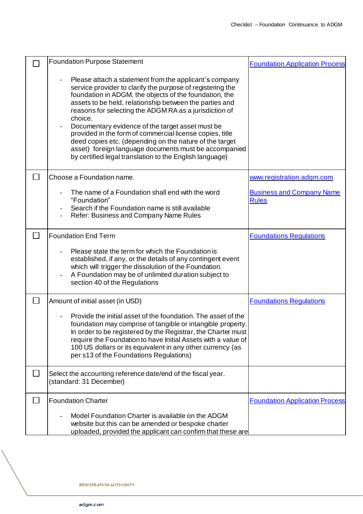|        | <b>Foundation Purpose Statement</b>                                                                                                                                                                                                                                                                                                                                                                                                                                                                                                                                                                           | <b>Foundation Application Process</b>            |
|--------|---------------------------------------------------------------------------------------------------------------------------------------------------------------------------------------------------------------------------------------------------------------------------------------------------------------------------------------------------------------------------------------------------------------------------------------------------------------------------------------------------------------------------------------------------------------------------------------------------------------|--------------------------------------------------|
|        | Please attach a statement from the applicant's company<br>service provider to clarify the purpose of registering the<br>foundation in ADGM, the objects of the foundation, the<br>assets to be held, relationship between the parties and<br>reasons for selecting the ADGM RA as a jurisdiction of<br>choice.<br>Documentary evidence of the target asset must be<br>provided in the form of commercial license copies, title<br>deed copies etc. (depending on the nature of the target<br>asset) foreign language documents must be accompanied<br>by certified legal translation to the English language) |                                                  |
|        | Choose a Foundation name.                                                                                                                                                                                                                                                                                                                                                                                                                                                                                                                                                                                     | www.registration.adgm.com                        |
|        | The name of a Foundation shall end with the word<br>"Foundation"<br>Search if the Foundation name is still available<br>Refer: Business and Company Name Rules                                                                                                                                                                                                                                                                                                                                                                                                                                                | <b>Business and Company Name</b><br><b>Rules</b> |
|        | <b>Foundation End Term</b>                                                                                                                                                                                                                                                                                                                                                                                                                                                                                                                                                                                    | <b>Foundations Regulations</b>                   |
|        | Please state the term for which the Foundation is<br>established, if any, or the details of any contingent event<br>which will trigger the dissolution of the Foundation.<br>A Foundation may be of unlimited duration subject to<br>section 40 of the Regulations                                                                                                                                                                                                                                                                                                                                            |                                                  |
| $\Box$ | Amount of initial asset (in USD)                                                                                                                                                                                                                                                                                                                                                                                                                                                                                                                                                                              | <b>Foundations Regulations</b>                   |
|        | Provide the initial asset of the foundation. The asset of the<br>foundation may comprise of tangible or intangible property.<br>In order to be registered by the Registrar, the Charter must<br>require the Foundation to have Initial Assets with a value of<br>100 US dollars or its equivalent in any other currency (as<br>per s13 of the Foundations Regulations)                                                                                                                                                                                                                                        |                                                  |
| $\Box$ | Select the accounting reference date/end of the fiscal year.<br>(standard: 31 December)                                                                                                                                                                                                                                                                                                                                                                                                                                                                                                                       |                                                  |
|        | <b>Foundation Charter</b>                                                                                                                                                                                                                                                                                                                                                                                                                                                                                                                                                                                     | <b>Foundation Application Process</b>            |
|        | Model Foundation Charter is available on the ADGM<br>website but this can be amended or bespoke charter<br>uploaded, provided the applicant can confirm that these are                                                                                                                                                                                                                                                                                                                                                                                                                                        |                                                  |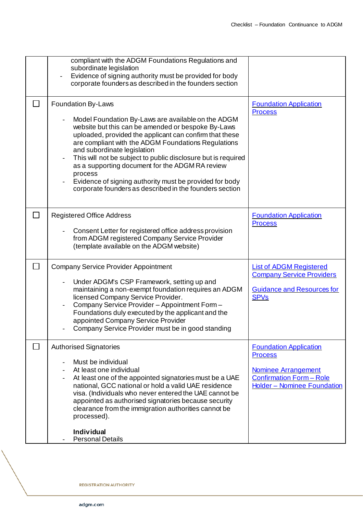|               | compliant with the ADGM Foundations Regulations and<br>subordinate legislation<br>Evidence of signing authority must be provided for body<br>corporate founders as described in the founders section                                                                                                                                                                                                                                                                                                                                 |                                                                                                                                                 |
|---------------|--------------------------------------------------------------------------------------------------------------------------------------------------------------------------------------------------------------------------------------------------------------------------------------------------------------------------------------------------------------------------------------------------------------------------------------------------------------------------------------------------------------------------------------|-------------------------------------------------------------------------------------------------------------------------------------------------|
| $\mathcal{L}$ | Foundation By-Laws<br>Model Foundation By-Laws are available on the ADGM<br>website but this can be amended or bespoke By-Laws<br>uploaded, provided the applicant can confirm that these<br>are compliant with the ADGM Foundations Regulations<br>and subordinate legislation<br>This will not be subject to public disclosure but is required<br>as a supporting document for the ADGM RA review<br>process<br>Evidence of signing authority must be provided for body<br>corporate founders as described in the founders section | <b>Foundation Application</b><br><b>Process</b>                                                                                                 |
| $\Box$        | <b>Registered Office Address</b><br>Consent Letter for registered office address provision<br>from ADGM registered Company Service Provider<br>(template available on the ADGM website)                                                                                                                                                                                                                                                                                                                                              | <b>Foundation Application</b><br><b>Process</b>                                                                                                 |
| $\Box$        | <b>Company Service Provider Appointment</b><br>Under ADGM's CSP Framework, setting up and<br>maintaining a non-exempt foundation requires an ADGM<br>licensed Company Service Provider.<br>Company Service Provider - Appointment Form -<br>Foundations duly executed by the applicant and the<br>appointed Company Service Provider<br>Company Service Provider must be in good standing                                                                                                                                            | <b>List of ADGM Registered</b><br><b>Company Service Providers</b><br><b>Guidance and Resources for</b><br><b>SPV<sub>s</sub></b>               |
|               | <b>Authorised Signatories</b><br>Must be individual<br>At least one individual<br>At least one of the appointed signatories must be a UAE<br>national, GCC national or hold a valid UAE residence<br>visa. (Individuals who never entered the UAE cannot be<br>appointed as authorised signatories because security<br>clearance from the immigration authorities cannot be<br>processed).<br><b>Individual</b><br><b>Personal Details</b>                                                                                           | <b>Foundation Application</b><br><b>Process</b><br><b>Nominee Arrangement</b><br><b>Confirmation Form - Role</b><br>Holder - Nominee Foundation |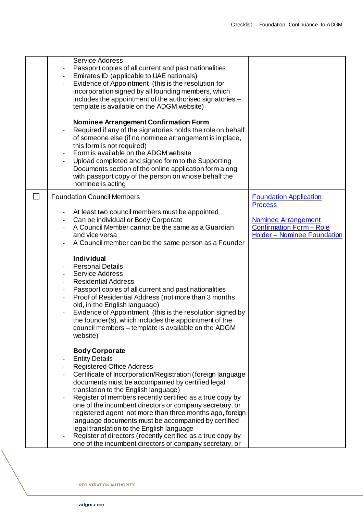|                          | <b>Service Address</b><br>Passport copies of all current and past nationalities<br>Emirates ID (applicable to UAE nationals)<br>Evidence of Appointment (this is the resolution for<br>incorporation signed by all founding members, which<br>includes the appointment of the authorised signatories -<br>template is available on the ADGM website)<br><b>Nominee Arrangement Confirmation Form</b><br>Required if any of the signatories holds the role on behalf<br>of someone else (if no nominee arrangement is in place,<br>this form is not required)<br>Form is available on the ADGM website<br>Upload completed and signed form to the Supporting<br>Documents section of the online application form along<br>with passport copy of the person on whose behalf the<br>nominee is acting |                                                                                                                                                        |
|--------------------------|----------------------------------------------------------------------------------------------------------------------------------------------------------------------------------------------------------------------------------------------------------------------------------------------------------------------------------------------------------------------------------------------------------------------------------------------------------------------------------------------------------------------------------------------------------------------------------------------------------------------------------------------------------------------------------------------------------------------------------------------------------------------------------------------------|--------------------------------------------------------------------------------------------------------------------------------------------------------|
| $\overline{\phantom{a}}$ | <b>Foundation Council Members</b><br>At least two council members must be appointed<br>Can be individual or Body Corporate<br>A Council Member cannot be the same as a Guardian<br>and vice versa<br>A Council member can be the same person as a Founder<br><b>Individual</b><br><b>Personal Details</b><br><b>Service Address</b><br><b>Residential Address</b><br>Passport copies of all current and past nationalities<br>Proof of Residential Address (not more than 3 months<br>$\overline{\phantom{a}}$<br>old, in the English language)<br>Evidence of Appointment (this is the resolution signed by<br>the founder(s), which includes the appointment of the<br>council members - template is available on the ADGM<br>website)                                                           | <b>Foundation Application</b><br><b>Process</b><br><b>Nominee Arrangement</b><br><b>Confirmation Form - Role</b><br><b>Holder - Nominee Foundation</b> |
|                          | <b>Body Corporate</b><br><b>Entity Details</b><br><b>Registered Office Address</b><br>Certificate of Incorporation/Registration (foreign language<br>documents must be accompanied by certified legal<br>translation to the English language)<br>Register of members recently certified as a true copy by<br>one of the incumbent directors or company secretary, or<br>registered agent, not more than three months ago, foreign<br>language documents must be accompanied by certified<br>legal translation to the English language<br>Register of directors (recently certified as a true copy by<br>one of the incumbent directors or company secretary, or                                                                                                                                    |                                                                                                                                                        |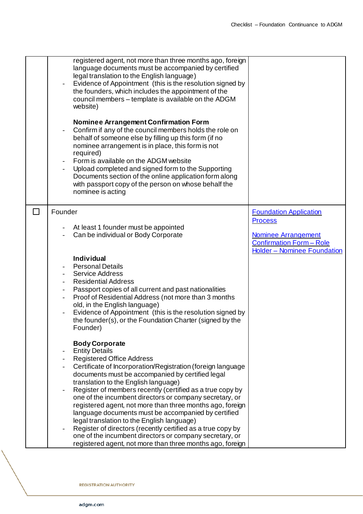|               | registered agent, not more than three months ago, foreign<br>language documents must be accompanied by certified<br>legal translation to the English language)<br>Evidence of Appointment (this is the resolution signed by<br>the founders, which includes the appointment of the<br>council members - template is available on the ADGM<br>website)<br><b>Nominee Arrangement Confirmation Form</b><br>Confirm if any of the council members holds the role on<br>behalf of someone else by filling up this form (if no<br>nominee arrangement is in place, this form is not<br>required)<br>Form is available on the ADGM website<br>Upload completed and signed form to the Supporting<br>Documents section of the online application form along<br>with passport copy of the person on whose behalf the<br>nominee is acting |                                                                                                                  |
|---------------|-----------------------------------------------------------------------------------------------------------------------------------------------------------------------------------------------------------------------------------------------------------------------------------------------------------------------------------------------------------------------------------------------------------------------------------------------------------------------------------------------------------------------------------------------------------------------------------------------------------------------------------------------------------------------------------------------------------------------------------------------------------------------------------------------------------------------------------|------------------------------------------------------------------------------------------------------------------|
| $\mathcal{L}$ | Founder<br>At least 1 founder must be appointed<br>Can be individual or Body Corporate                                                                                                                                                                                                                                                                                                                                                                                                                                                                                                                                                                                                                                                                                                                                            | <b>Foundation Application</b><br><b>Process</b><br><b>Nominee Arrangement</b><br><b>Confirmation Form - Role</b> |
|               | <b>Individual</b><br><b>Personal Details</b><br><b>Service Address</b><br><b>Residential Address</b><br>Passport copies of all current and past nationalities<br>$\overline{\phantom{a}}$<br>Proof of Residential Address (not more than 3 months<br>$\blacksquare$<br>old, in the English language)<br>Evidence of Appointment (this is the resolution signed by<br>the founder(s), or the Foundation Charter (signed by the<br>Founder)                                                                                                                                                                                                                                                                                                                                                                                         | <b>Holder - Nominee Foundation</b>                                                                               |
|               | <b>Body Corporate</b><br><b>Entity Details</b><br><b>Registered Office Address</b><br>Certificate of Incorporation/Registration (foreign language<br>documents must be accompanied by certified legal<br>translation to the English language)<br>Register of members recently (certified as a true copy by<br>one of the incumbent directors or company secretary, or<br>registered agent, not more than three months ago, foreign<br>language documents must be accompanied by certified<br>legal translation to the English language)<br>Register of directors (recently certified as a true copy by<br>one of the incumbent directors or company secretary, or<br>registered agent, not more than three months ago, foreign                                                                                                    |                                                                                                                  |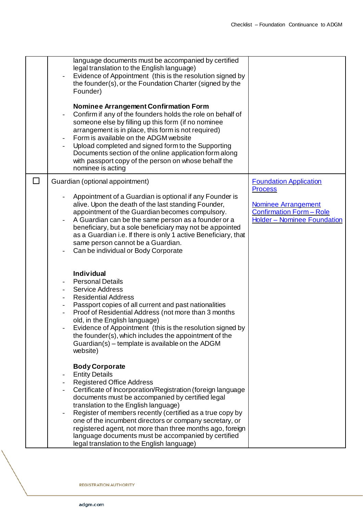|              | language documents must be accompanied by certified<br>legal translation to the English language)<br>Evidence of Appointment (this is the resolution signed by<br>the founder(s), or the Foundation Charter (signed by the<br>Founder)<br>Nominee Arrangement Confirmation Form<br>Confirm if any of the founders holds the role on behalf of<br>someone else by filling up this form (if no nominee<br>arrangement is in place, this form is not required)<br>Form is available on the ADGM website<br>Upload completed and signed form to the Supporting<br>Documents section of the online application form along<br>with passport copy of the person on whose behalf the<br>nominee is acting |                                                                                                                                                 |
|--------------|---------------------------------------------------------------------------------------------------------------------------------------------------------------------------------------------------------------------------------------------------------------------------------------------------------------------------------------------------------------------------------------------------------------------------------------------------------------------------------------------------------------------------------------------------------------------------------------------------------------------------------------------------------------------------------------------------|-------------------------------------------------------------------------------------------------------------------------------------------------|
| $\mathsf{L}$ | Guardian (optional appointment)<br>Appointment of a Guardian is optional if any Founder is<br>alive. Upon the death of the last standing Founder,<br>appointment of the Guardian becomes compulsory.<br>A Guardian can be the same person as a founder or a<br>beneficiary, but a sole beneficiary may not be appointed<br>as a Guardian i.e. If there is only 1 active Beneficiary, that<br>same person cannot be a Guardian.<br>Can be individual or Body Corporate                                                                                                                                                                                                                             | <b>Foundation Application</b><br><b>Process</b><br><b>Nominee Arrangement</b><br><b>Confirmation Form - Role</b><br>Holder - Nominee Foundation |
|              | <b>Individual</b><br><b>Personal Details</b><br><b>Service Address</b><br><b>Residential Address</b><br>Passport copies of all current and past nationalities<br>$\overline{\phantom{a}}$<br>Proof of Residential Address (not more than 3 months<br>old, in the English language)<br>Evidence of Appointment (this is the resolution signed by<br>the founder(s), which includes the appointment of the<br>Guardian(s) – template is available on the ADGM<br>website)                                                                                                                                                                                                                           |                                                                                                                                                 |
|              | <b>Body Corporate</b><br><b>Entity Details</b><br>$\qquad \qquad -$<br><b>Registered Office Address</b><br>Certificate of Incorporation/Registration (foreign language<br>documents must be accompanied by certified legal<br>translation to the English language)<br>Register of members recently (certified as a true copy by<br>one of the incumbent directors or company secretary, or<br>registered agent, not more than three months ago, foreign<br>language documents must be accompanied by certified<br>legal translation to the English language)                                                                                                                                      |                                                                                                                                                 |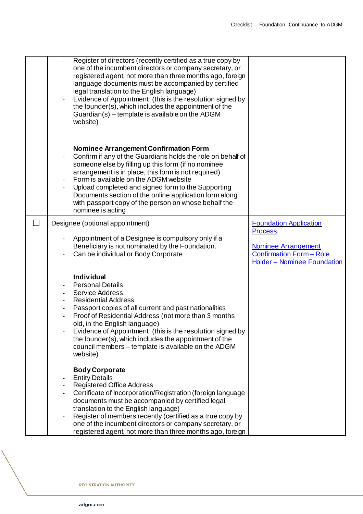| Register of directors (recently certified as a true copy by<br>one of the incumbent directors or company secretary, or<br>registered agent, not more than three months ago, foreign<br>language documents must be accompanied by certified<br>legal translation to the English language)<br>Evidence of Appointment (this is the resolution signed by<br>the founder(s), which includes the appointment of the<br>Guardian(s) - template is available on the ADGM<br>website) |                                                                                                                |
|-------------------------------------------------------------------------------------------------------------------------------------------------------------------------------------------------------------------------------------------------------------------------------------------------------------------------------------------------------------------------------------------------------------------------------------------------------------------------------|----------------------------------------------------------------------------------------------------------------|
| <b>Nominee Arrangement Confirmation Form</b><br>Confirm if any of the Guardians holds the role on behalf of<br>someone else by filling up this form (if no nominee<br>arrangement is in place, this form is not required)<br>Form is available on the ADGM website<br>Upload completed and signed form to the Supporting<br>Documents section of the online application form along<br>with passport copy of the person on whose behalf the<br>nominee is acting               |                                                                                                                |
| Designee (optional appointment)                                                                                                                                                                                                                                                                                                                                                                                                                                               | <b>Foundation Application</b>                                                                                  |
| Appointment of a Designee is compulsory only if a<br>Beneficiary is not nominated by the Foundation.<br>Can be individual or Body Corporate                                                                                                                                                                                                                                                                                                                                   | <b>Process</b><br><b>Nominee Arrangement</b><br><b>Confirmation Form - Role</b><br>Holder - Nominee Foundation |
| <b>Individual</b><br><b>Personal Details</b><br><b>Service Address</b><br><b>Residential Address</b><br>Passport copies of all current and past nationalities<br>Proof of Residential Address (not more than 3 months<br>old, in the English language)<br>Evidence of Appointment (this is the resolution signed by<br>the founder(s), which includes the appointment of the<br>council members - template is available on the ADGM<br>website)                               |                                                                                                                |
| <b>Body Corporate</b><br><b>Entity Details</b><br><b>Registered Office Address</b><br>Certificate of Incorporation/Registration (foreign language<br>documents must be accompanied by certified legal<br>translation to the English language)<br>Register of members recently (certified as a true copy by<br>one of the incumbent directors or company secretary, or<br>registered agent, not more than three months ago, foreign                                            |                                                                                                                |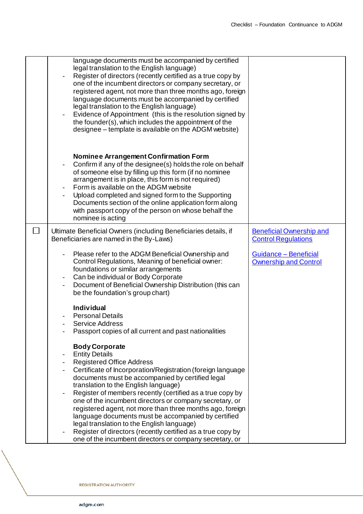|        | language documents must be accompanied by certified<br>legal translation to the English language)<br>Register of directors (recently certified as a true copy by<br>one of the incumbent directors or company secretary, or<br>registered agent, not more than three months ago, foreign<br>language documents must be accompanied by certified<br>legal translation to the English language)<br>Evidence of Appointment (this is the resolution signed by<br>the founder(s), which includes the appointment of the<br>designee – template is available on the ADGM website)                                                                                      |                                                               |
|--------|-------------------------------------------------------------------------------------------------------------------------------------------------------------------------------------------------------------------------------------------------------------------------------------------------------------------------------------------------------------------------------------------------------------------------------------------------------------------------------------------------------------------------------------------------------------------------------------------------------------------------------------------------------------------|---------------------------------------------------------------|
|        | <b>Nominee Arrangement Confirmation Form</b><br>Confirm if any of the designee(s) holds the role on behalf<br>of someone else by filling up this form (if no nominee<br>arrangement is in place, this form is not required)<br>Form is available on the ADGM website<br>Upload completed and signed form to the Supporting<br>Documents section of the online application form along<br>with passport copy of the person on whose behalf the<br>nominee is acting                                                                                                                                                                                                 |                                                               |
| $\Box$ | Ultimate Beneficial Owners (including Beneficiaries details, if<br>Beneficiaries are named in the By-Laws)                                                                                                                                                                                                                                                                                                                                                                                                                                                                                                                                                        | <b>Beneficial Ownership and</b><br><b>Control Regulations</b> |
|        | Please refer to the ADGM Beneficial Ownership and<br>Control Regulations, Meaning of beneficial owner:<br>foundations or similar arrangements<br>Can be individual or Body Corporate<br>Document of Beneficial Ownership Distribution (this can<br>be the foundation's group chart)                                                                                                                                                                                                                                                                                                                                                                               | Guidance - Beneficial<br><b>Ownership and Control</b>         |
|        | <b>Individual</b><br><b>Personal Details</b><br>Service Address<br>Passport copies of all current and past nationalities                                                                                                                                                                                                                                                                                                                                                                                                                                                                                                                                          |                                                               |
|        | <b>Body Corporate</b><br><b>Entity Details</b><br><b>Registered Office Address</b><br>Certificate of Incorporation/Registration (foreign language<br>documents must be accompanied by certified legal<br>translation to the English language)<br>Register of members recently (certified as a true copy by<br>one of the incumbent directors or company secretary, or<br>registered agent, not more than three months ago, foreign<br>language documents must be accompanied by certified<br>legal translation to the English language)<br>Register of directors (recently certified as a true copy by<br>one of the incumbent directors or company secretary, or |                                                               |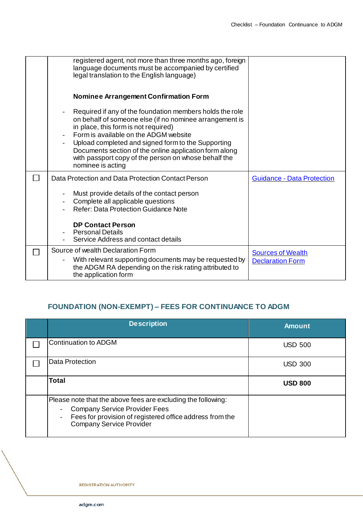| registered agent, not more than three months ago, foreign<br>language documents must be accompanied by certified<br>legal translation to the English language)                                                                                                                                                                                                                                    |                                                     |
|---------------------------------------------------------------------------------------------------------------------------------------------------------------------------------------------------------------------------------------------------------------------------------------------------------------------------------------------------------------------------------------------------|-----------------------------------------------------|
| <b>Nominee Arrangement Confirmation Form</b>                                                                                                                                                                                                                                                                                                                                                      |                                                     |
| Required if any of the foundation members holds the role<br>on behalf of someone else (if no nominee arrangement is<br>in place, this form is not required)<br>Form is available on the ADGM website<br>Upload completed and signed form to the Supporting<br>Documents section of the online application form along<br>with passport copy of the person on whose behalf the<br>nominee is acting |                                                     |
| Data Protection and Data Protection Contact Person                                                                                                                                                                                                                                                                                                                                                | <b>Guidance - Data Protection</b>                   |
| Must provide details of the contact person<br>Complete all applicable questions<br><b>Refer: Data Protection Guidance Note</b>                                                                                                                                                                                                                                                                    |                                                     |
| <b>DP Contact Person</b><br><b>Personal Details</b><br>Service Address and contact details                                                                                                                                                                                                                                                                                                        |                                                     |
| Source of wealth Declaration Form<br>With relevant supporting documents may be requested by<br>the ADGM RA depending on the risk rating attributed to<br>the application form                                                                                                                                                                                                                     | <b>Sources of Wealth</b><br><b>Declaration Form</b> |

## **FOUNDATION (NON-EXEMPT) – FEES FOR CONTINUANCE TO ADGM**

| <b>Description</b>                                                                                                                                                                                                              | <b>Amount</b>  |
|---------------------------------------------------------------------------------------------------------------------------------------------------------------------------------------------------------------------------------|----------------|
| Continuation to ADGM                                                                                                                                                                                                            | <b>USD 500</b> |
| <b>Data Protection</b>                                                                                                                                                                                                          | <b>USD 300</b> |
| <b>Total</b>                                                                                                                                                                                                                    | <b>USD 800</b> |
| Please note that the above fees are excluding the following:<br><b>Company Service Provider Fees</b><br>Fees for provision of registered office address from the<br>$\overline{\phantom{0}}$<br><b>Company Service Provider</b> |                |